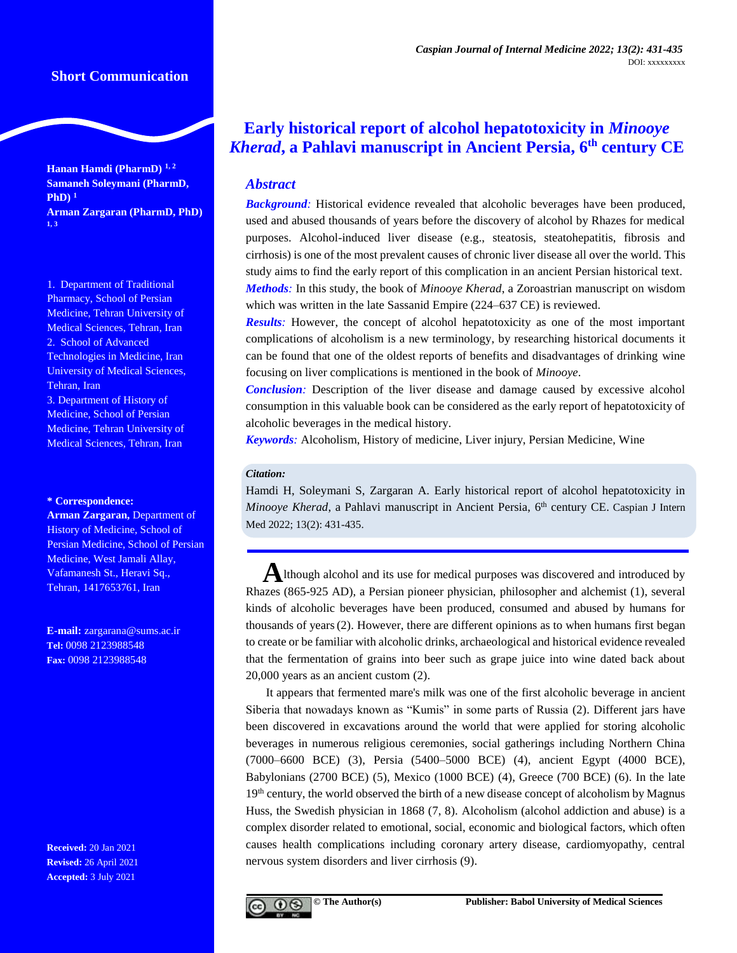**Hanan Hamdi (PharmD) 1, 2 Samaneh Soleymani (PharmD, PhD) <sup>1</sup> Arman Zargaran (PharmD, PhD) 1, 3**

1. Department of Traditional Pharmacy, School of Persian Medicine, Tehran University of Medical Sciences, Tehran, Iran 2. School of Advanced Technologies in Medicine, Iran University of Medical Sciences, Tehran, Iran 3. Department of History of Medicine, School of Persian Medicine, Tehran University of Medical Sciences, Tehran, Iran

#### **\* Correspondence:**

**Arman Zargaran,** Department of History of Medicine, School of Persian Medicine, School of Persian Medicine, West Jamali Allay, Vafamanesh St., Heravi Sq., Tehran, 1417653761, Iran

**E-mail:** [zargarana@sums.ac.ir](mailto:zargarana@sums.ac.ir) **Tel:** 0098 2123988548 **Fax:** 0098 2123988548

**Received:** 20 Jan 2021 **Revised:** 26 April 2021 **Accepted:** 3 July 2021

# **Early historical report of alcohol hepatotoxicity in** *Minooye Kherad***, a Pahlavi manuscript in Ancient Persia, 6 th century CE**

# *Abstract*

**Background**: Historical evidence revealed that alcoholic beverages have been produced, used and abused thousands of years before the discovery of alcohol by Rhazes for medical purposes. Alcohol-induced liver disease (e.g., steatosis, steatohepatitis, fibrosis and cirrhosis) is one of the most prevalent causes of chronic liver disease all over the world. This study aims to find the early report of this complication in an ancient Persian historical text. *Methods:* In this study, the book of *Minooye Kherad*, a Zoroastrian manuscript on wisdom which was written in the late Sassanid Empire (224–637 CE) is reviewed.

*Results:* However, the concept of alcohol hepatotoxicity as one of the most important complications of alcoholism is a new terminology, by researching historical documents it can be found that one of the oldest reports of benefits and disadvantages of drinking wine focusing on liver complications is mentioned in the book of *Minooye*.

*Conclusion:* Description of the liver disease and damage caused by excessive alcohol consumption in this valuable book can be considered as the early report of hepatotoxicity of alcoholic beverages in the medical history.

*Keywords:* Alcoholism, History of medicine, Liver injury, Persian Medicine, Wine

## *Citation:*

Hamdi H, Soleymani S, Zargaran A. Early historical report of alcohol hepatotoxicity in Minooye Kherad, a Pahlavi manuscript in Ancient Persia, 6<sup>th</sup> century CE. Caspian J Intern Med 2022; 13(2): 431-435.

A lthough alcohol and its use for medical purposes was discovered and introduced by Rhazes (865-925 AD), a Persian pioneer physician, philosopher and alchemist (1), several kinds of alcoholic beverages have been produced, consumed and abused by humans for thousands of years(2). However, there are different opinions as to when humans first began to create or be familiar with alcoholic drinks, archaeological and historical evidence revealed that the fermentation of grains into beer such as grape juice into wine dated back about 20,000 years as an ancient custom (2).

It appears that fermented mare's milk was one of the first alcoholic beverage in ancient Siberia that nowadays known as "Kumis" in some parts of Russia (2). Different jars have been discovered in excavations around the world that were applied for storing alcoholic beverages in numerous religious ceremonies, social gatherings including Northern China (7000–6600 BCE) (3), Persia (5400–5000 BCE) (4), ancient Egypt (4000 BCE), Babylonians (2700 BCE) (5), Mexico (1000 BCE) (4), Greece (700 BCE) (6). In the late 19<sup>th</sup> century, the world observed the birth of a new disease concept of alcoholism by Magnus Huss, the Swedish physician in 1868 (7, 8). Alcoholism (alcohol addiction and abuse) is a complex disorder related to emotional, social, economic and biological factors, which often causes health complications including coronary artery disease, cardiomyopathy, central nervous system disorders and liver cirrhosis (9).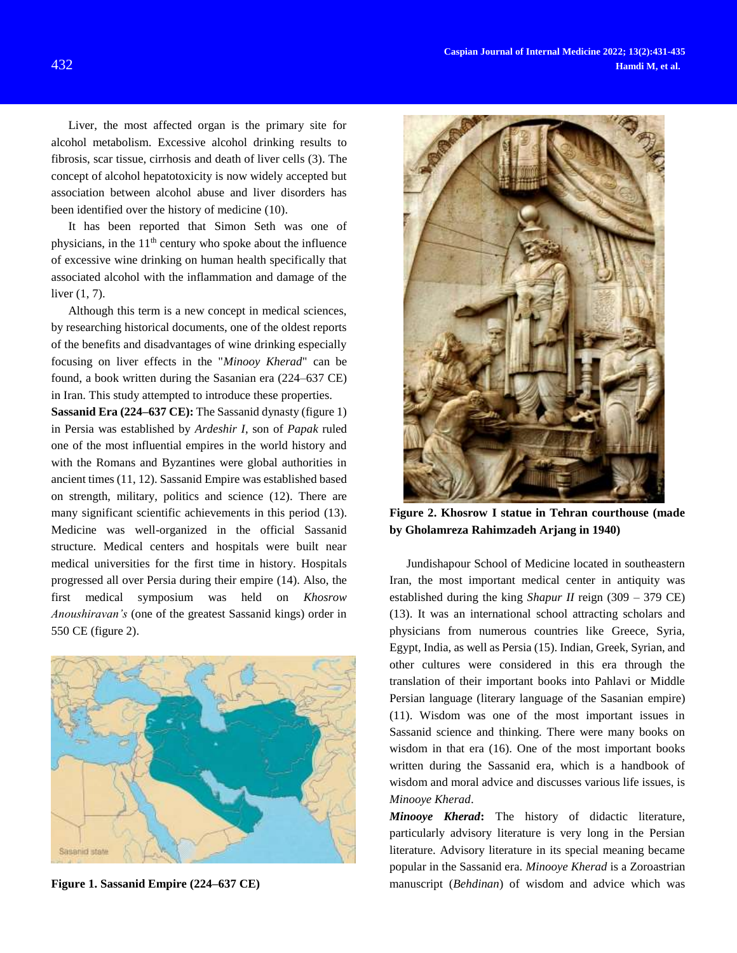Liver, the most affected organ is the primary site for alcohol metabolism. Excessive alcohol drinking results to fibrosis, scar tissue, cirrhosis and death of liver cells (3). The concept of alcohol hepatotoxicity is now widely accepted but association between alcohol abuse and liver disorders has been identified over the history of medicine (10).

It has been reported that Simon Seth was one of physicians, in the  $11<sup>th</sup>$  century who spoke about the influence of excessive wine drinking on human health specifically that associated alcohol with the inflammation and damage of the liver (1, 7).

Although this term is a new concept in medical sciences, by researching historical documents, one of the oldest reports of the benefits and disadvantages of wine drinking especially focusing on liver effects in the "*Minooy Kherad*" can be found, a book written during the Sasanian era (224–637 CE) in Iran. This study attempted to introduce these properties.

**Sassanid Era (224–637 CE):** The Sassanid dynasty (figure 1) in Persia was established by *Ardeshir I*, son of *Papak* ruled one of the most influential empires in the world history and with the Romans and Byzantines were global authorities in ancient times (11, 12). Sassanid Empire was established based on strength, military, politics and science (12). There are many significant scientific achievements in this period (13). Medicine was well-organized in the official Sassanid structure. Medical centers and hospitals were built near medical universities for the first time in history. Hospitals progressed all over Persia during their empire (14). Also, the first medical symposium was held on *Khosrow Anoushiravan's* (one of the greatest Sassanid kings) order in 550 CE (figure 2).



**Figure 1. Sassanid Empire (224–637 CE)**



**Figure 2. Khosrow I statue in Tehran courthouse (made by Gholamreza Rahimzadeh Arjang in 1940)**

Jundishapour School of Medicine located in southeastern Iran, the most important medical center in antiquity was established during the king *Shapur II* reign (309 – 379 CE) (13). It was an international school attracting scholars and physicians from numerous countries like Greece, Syria, Egypt, India, as well as Persia (15). Indian, Greek, Syrian, and other cultures were considered in this era through the translation of their important books into Pahlavi or Middle Persian language (literary language of the Sasanian empire) (11). Wisdom was one of the most important issues in Sassanid science and thinking. There were many books on wisdom in that era (16). One of the most important books written during the Sassanid era, which is a handbook of wisdom and moral advice and discusses various life issues, is *Minooye Kherad*.

*Minooye Kherad***:** The history of didactic literature, particularly advisory literature is very long in the Persian literature. Advisory literature in its special meaning became popular in the Sassanid era. *Minooye Kherad* is a Zoroastrian manuscript (*Behdinan*) of wisdom and advice which was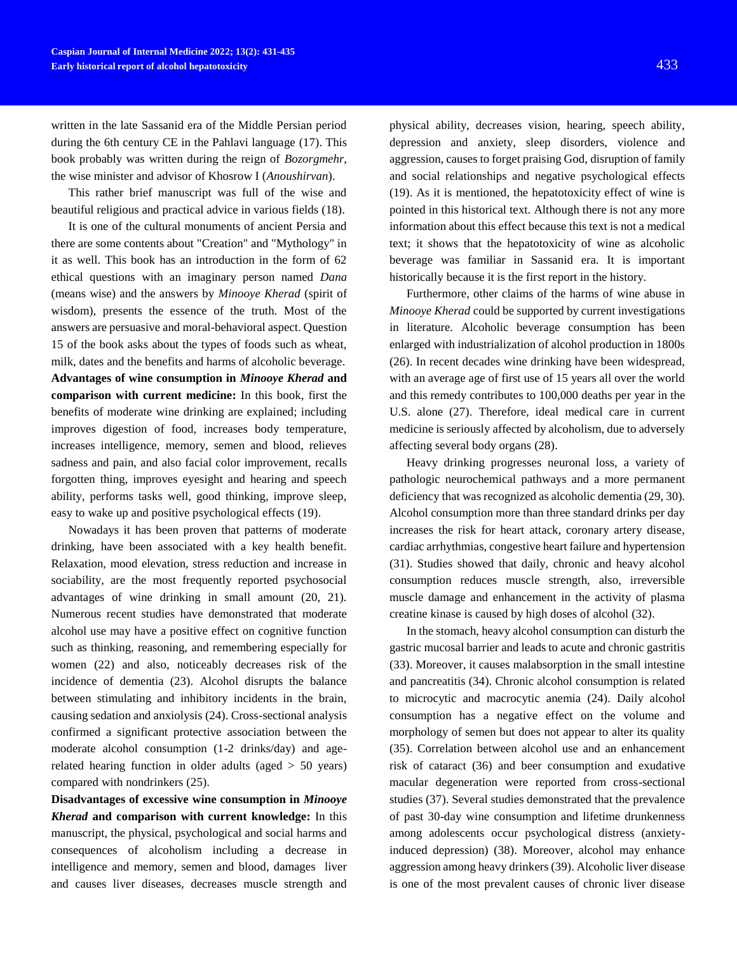written in the late Sassanid era of the Middle Persian period during the 6th century CE in the Pahlavi language (17). This book probably was written during the reign of *Bozorgmehr*, the wise minister and advisor of Khosrow I (*Anoushirvan*).

This rather brief manuscript was full of the wise and beautiful religious and practical advice in various fields (18).

It is one of the cultural monuments of ancient Persia and there are some contents about "Creation" and "Mythology" in it as well. This book has an introduction in the form of 62 ethical questions with an imaginary person named *Dana* (means wise) and the answers by *Minooye Kherad* (spirit of wisdom), presents the essence of the truth. Most of the answers are persuasive and moral-behavioral aspect. Question 15 of the book asks about the types of foods such as wheat, milk, dates and the benefits and harms of alcoholic beverage. **Advantages of wine consumption in** *Minooye Kherad* **and comparison with current medicine:** In this book, first the benefits of moderate wine drinking are explained; including improves digestion of food, increases body temperature, increases intelligence, memory, semen and blood, relieves sadness and pain, and also facial color improvement, recalls forgotten thing, improves eyesight and hearing and speech ability, performs tasks well, good thinking, improve sleep, easy to wake up and positive psychological effects (19).

Nowadays it has been proven that patterns of moderate drinking, have been associated with a key health benefit. Relaxation, mood elevation, stress reduction and increase in sociability, are the most frequently reported psychosocial advantages of wine drinking in small amount (20, 21). Numerous recent studies have demonstrated that moderate alcohol use may have a positive effect on cognitive function such as thinking, reasoning, and remembering especially for women (22) and also, noticeably decreases risk of the incidence of dementia (23). Alcohol disrupts the balance between stimulating and inhibitory incidents in the brain, causing sedation and anxiolysis (24). Cross-sectional analysis confirmed a significant protective association between the moderate alcohol consumption (1-2 drinks/day) and agerelated hearing function in older adults (aged > 50 years) compared with nondrinkers (25).

**Disadvantages of excessive wine consumption in** *Minooye Kherad* **and comparison with current knowledge:** In this manuscript, the physical, psychological and social harms and consequences of alcoholism including a decrease in intelligence and memory, semen and blood, damages liver and causes liver diseases, decreases muscle strength and

physical ability, decreases vision, hearing, speech ability, depression and anxiety, sleep disorders, violence and aggression, causes to forget praising God, disruption of family and social relationships and negative psychological effects (19). As it is mentioned, the hepatotoxicity effect of wine is pointed in this historical text. Although there is not any more information about this effect because this text is not a medical text; it shows that the hepatotoxicity of wine as alcoholic beverage was familiar in Sassanid era. It is important historically because it is the first report in the history.

Furthermore, other claims of the harms of wine abuse in *Minooye Kherad* could be supported by current investigations in literature. Alcoholic beverage consumption has been enlarged with industrialization of alcohol production in 1800s (26). In recent decades wine drinking have been widespread, with an average age of first use of 15 years all over the world and this remedy contributes to 100,000 deaths per year in the U.S. alone (27). Therefore, ideal medical care in current medicine is seriously affected by alcoholism, due to adversely affecting several body organs (28).

Heavy drinking progresses neuronal loss, a variety of pathologic neurochemical pathways and a more permanent deficiency that was recognized as alcoholic dementia (29, 30). Alcohol consumption more than three standard drinks per day increases the risk for heart attack, coronary artery disease, cardiac arrhythmias, congestive heart failure and hypertension (31). Studies showed that daily, chronic and heavy alcohol consumption reduces muscle strength, also, irreversible muscle damage and enhancement in the activity of plasma creatine kinase is caused by high doses of alcohol (32).

In the stomach, heavy alcohol consumption can disturb the gastric mucosal barrier and leads to acute and chronic gastritis (33). Moreover, it causes malabsorption in the small intestine and pancreatitis (34). Chronic alcohol consumption is related to microcytic and macrocytic anemia (24). Daily alcohol consumption has a negative effect on the volume and morphology of semen but does not appear to alter its quality (35). Correlation between alcohol use and an enhancement risk of cataract (36) and beer consumption and exudative macular degeneration were reported from cross-sectional studies (37). Several studies demonstrated that the prevalence of past 30-day wine consumption and lifetime drunkenness among adolescents occur psychological distress (anxietyinduced depression) (38). Moreover, alcohol may enhance aggression among heavy drinkers (39). Alcoholic liver disease is one of the most prevalent causes of chronic liver disease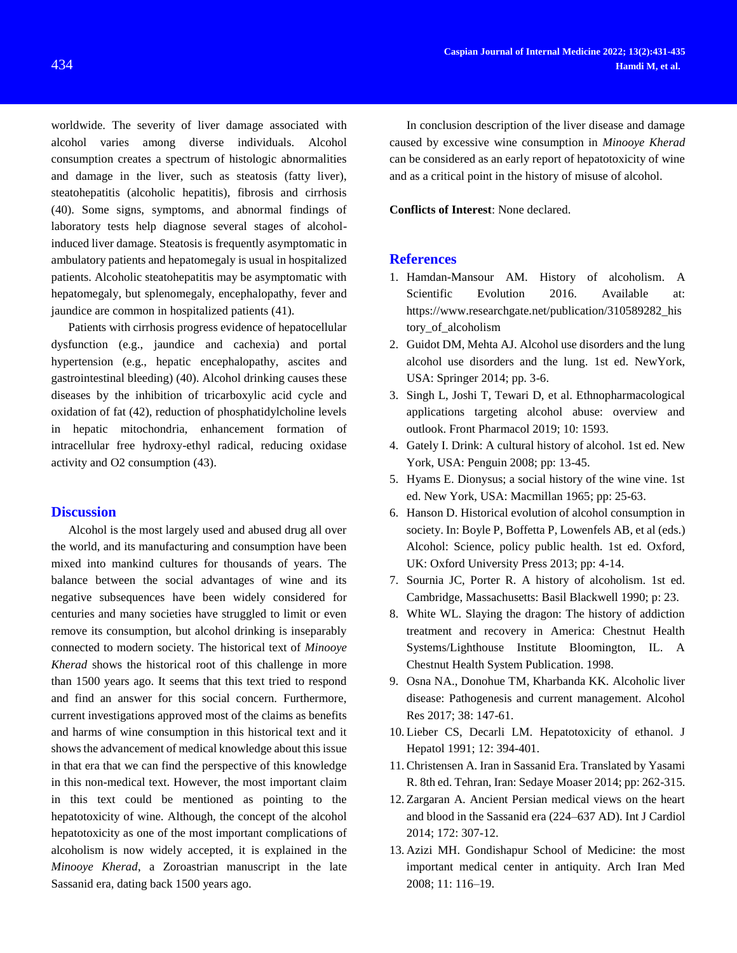consumption creates a spectrum of histologic abnormalities and damage in the liver, such as steatosis (fatty liver), steatohepatitis (alcoholic hepatitis), fibrosis and cirrhosis (40). Some signs, symptoms, and abnormal findings of laboratory tests help diagnose several stages of alcoholinduced liver damage. Steatosis is frequently asymptomatic in ambulatory patients and hepatomegaly is usual in hospitalized patients. Alcoholic steatohepatitis may be asymptomatic with hepatomegaly, but splenomegaly, encephalopathy, fever and jaundice are common in hospitalized patients (41).

Patients with cirrhosis progress evidence of hepatocellular dysfunction (e.g., jaundice and cachexia) and portal hypertension (e.g., hepatic encephalopathy, ascites and gastrointestinal bleeding) (40). Alcohol drinking causes these diseases by the inhibition of tricarboxylic acid cycle and oxidation of fat (42), reduction of phosphatidylcholine levels in hepatic mitochondria, enhancement formation of intracellular free hydroxy-ethyl radical, reducing oxidase activity and O2 consumption (43).

#### **Discussion**

Alcohol is the most largely used and abused drug all over the world, and its manufacturing and consumption have been mixed into mankind cultures for thousands of years. The balance between the social advantages of wine and its negative subsequences have been widely considered for centuries and many societies have struggled to limit or even remove its consumption, but alcohol drinking is inseparably connected to modern society. The historical text of *Minooye Kherad* shows the historical root of this challenge in more than 1500 years ago. It seems that this text tried to respond and find an answer for this social concern. Furthermore, current investigations approved most of the claims as benefits and harms of wine consumption in this historical text and it shows the advancement of medical knowledge about this issue in that era that we can find the perspective of this knowledge in this non-medical text. However, the most important claim in this text could be mentioned as pointing to the hepatotoxicity of wine. Although, the concept of the alcohol hepatotoxicity as one of the most important complications of alcoholism is now widely accepted, it is explained in the *Minooye Kherad*, a Zoroastrian manuscript in the late Sassanid era, dating back 1500 years ago.

In conclusion description of the liver disease and damage caused by excessive wine consumption in *Minooye Kherad* can be considered as an early report of hepatotoxicity of wine and as a critical point in the history of misuse of alcohol.

**Conflicts of Interest**: None declared.

## **References**

- 1. Hamdan-Mansour AM. History of alcoholism. A Scientific Evolution 2016. Available at: https://www.researchgate.net/publication/310589282\_his tory of alcoholism
- 2. Guidot DM, Mehta AJ. Alcohol use disorders and the lung alcohol use disorders and the lung. 1st ed. NewYork, USA: Springer 2014; pp. 3-6.
- 3. Singh L, Joshi T, Tewari D, et al. Ethnopharmacological applications targeting alcohol abuse: overview and outlook. Front Pharmacol 2019; 10: 1593.
- 4. Gately I. Drink: A cultural history of alcohol. 1st ed. New York, USA: Penguin 2008; pp: 13-45.
- 5. Hyams E. Dionysus; a social history of the wine vine. 1st ed. New York, USA: Macmillan 1965; pp: 25-63.
- 6. Hanson D. Historical evolution of alcohol consumption in society. In: Boyle P, Boffetta P, Lowenfels AB, et al (eds.) Alcohol: Science, policy public health. 1st ed. Oxford, UK: Oxford University Press 2013; pp: 4-14.
- 7. Sournia JC, Porter R. A history of alcoholism. 1st ed. Cambridge, Massachusetts: Basil Blackwell 1990; p: 23.
- 8. White WL. Slaying the dragon: The history of addiction treatment and recovery in America: Chestnut Health Systems/Lighthouse Institute Bloomington, IL. A Chestnut Health System Publication. 1998.
- 9. Osna NA., Donohue TM, Kharbanda KK. Alcoholic liver disease: Pathogenesis and current management. Alcohol Res 2017; 38: 147-61.
- 10. Lieber CS, Decarli LM. Hepatotoxicity of ethanol. J Hepatol 1991; 12: 394-401.
- 11. Christensen A. Iran in Sassanid Era. Translated by Yasami R. 8th ed. Tehran, Iran: Sedaye Moaser 2014; pp: 262-315.
- 12. Zargaran A. Ancient Persian medical views on the heart and blood in the Sassanid era (224–637 AD). Int J Cardiol 2014; 172: 307-12.
- 13. Azizi MH. Gondishapur School of Medicine: the most important medical center in antiquity. Arch Iran Med 2008; 11: 116–19.